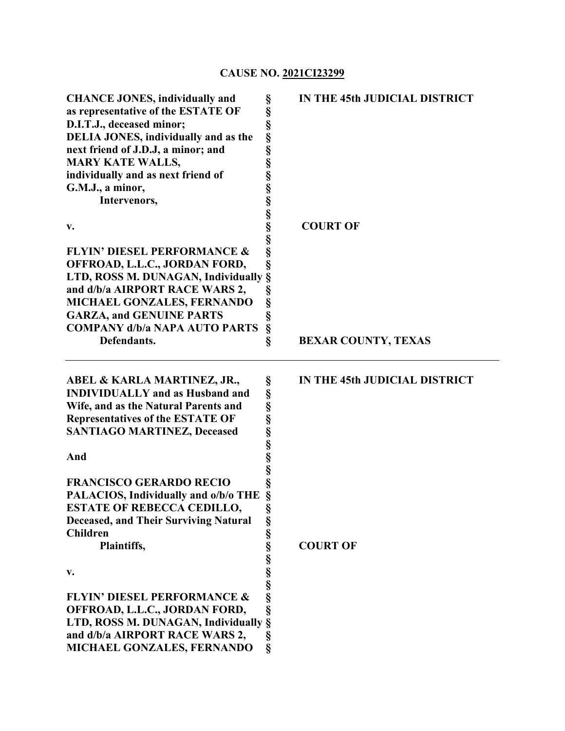# **CAUSE NO. 2021CI23299**

| <b>CHANCE JONES, individually and</b><br>as representative of the ESTATE OF<br>D.I.T.J., deceased minor;<br><b>DELIA JONES, individually and as the</b><br>next friend of J.D.J, a minor; and<br><b>MARY KATE WALLS,</b><br>individually and as next friend of<br>G.M.J., a minor,<br>Intervenors, | §<br>IN THE 45th JUDICIAL DISTRICT |
|----------------------------------------------------------------------------------------------------------------------------------------------------------------------------------------------------------------------------------------------------------------------------------------------------|------------------------------------|
| v.                                                                                                                                                                                                                                                                                                 | <b>COURT OF</b>                    |
|                                                                                                                                                                                                                                                                                                    |                                    |
| <b>FLYIN' DIESEL PERFORMANCE &amp;</b><br>OFFROAD, L.L.C., JORDAN FORD,                                                                                                                                                                                                                            |                                    |
| LTD, ROSS M. DUNAGAN, Individually                                                                                                                                                                                                                                                                 | §                                  |
| and d/b/a AIRPORT RACE WARS 2,                                                                                                                                                                                                                                                                     | §                                  |
| MICHAEL GONZALES, FERNANDO                                                                                                                                                                                                                                                                         | $\S$                               |
| <b>GARZA, and GENUINE PARTS</b>                                                                                                                                                                                                                                                                    | §<br>§                             |
| <b>COMPANY d/b/a NAPA AUTO PARTS</b><br>Defendants.                                                                                                                                                                                                                                                | $\S$<br><b>BEXAR COUNTY, TEXAS</b> |
|                                                                                                                                                                                                                                                                                                    |                                    |
| ABEL & KARLA MARTINEZ, JR.,                                                                                                                                                                                                                                                                        | IN THE 45th JUDICIAL DISTRICT      |
| <b>INDIVIDUALLY</b> and as Husband and                                                                                                                                                                                                                                                             |                                    |
| Wife, and as the Natural Parents and                                                                                                                                                                                                                                                               |                                    |
| <b>Representatives of the ESTATE OF</b>                                                                                                                                                                                                                                                            |                                    |
| <b>SANTIAGO MARTINEZ, Deceased</b>                                                                                                                                                                                                                                                                 |                                    |
| And                                                                                                                                                                                                                                                                                                |                                    |
|                                                                                                                                                                                                                                                                                                    |                                    |
|                                                                                                                                                                                                                                                                                                    |                                    |
| <b>FRANCISCO GERARDO RECIO</b>                                                                                                                                                                                                                                                                     | en en en en en en en en en         |
| PALACIOS, Individually and o/b/o THE                                                                                                                                                                                                                                                               | §                                  |
| <b>ESTATE OF REBECCA CEDILLO,</b>                                                                                                                                                                                                                                                                  |                                    |
| <b>Deceased, and Their Surviving Natural</b>                                                                                                                                                                                                                                                       |                                    |
| <b>Children</b><br>Plaintiffs,                                                                                                                                                                                                                                                                     | <b>COURT OF</b>                    |
|                                                                                                                                                                                                                                                                                                    |                                    |
| v.                                                                                                                                                                                                                                                                                                 |                                    |
|                                                                                                                                                                                                                                                                                                    |                                    |
| <b>FLYIN' DIESEL PERFORMANCE &amp;</b>                                                                                                                                                                                                                                                             |                                    |
| OFFROAD, L.L.C., JORDAN FORD,<br>LTD, ROSS M. DUNAGAN, Individually                                                                                                                                                                                                                                |                                    |
| and d/b/a AIRPORT RACE WARS 2,                                                                                                                                                                                                                                                                     | $\S$<br>§<br>$\S$                  |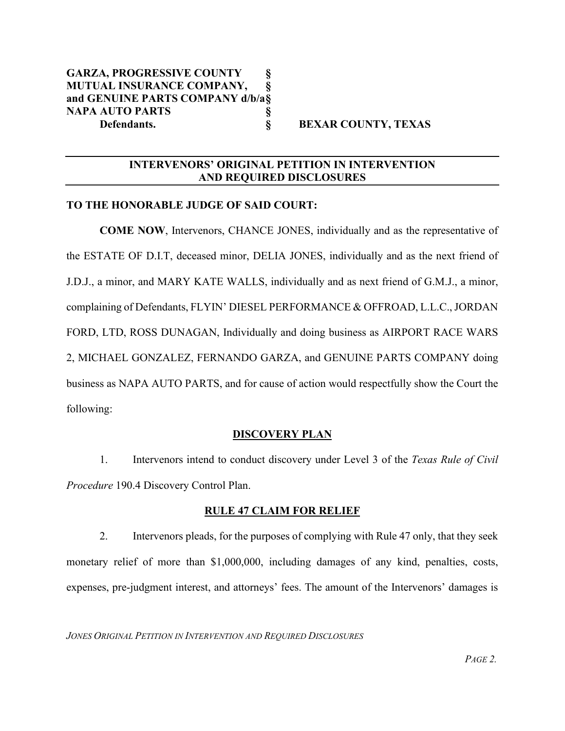## **INTERVENORS' ORIGINAL PETITION IN INTERVENTION AND REQUIRED DISCLOSURES**

#### **TO THE HONORABLE JUDGE OF SAID COURT:**

**COME NOW**, Intervenors, CHANCE JONES, individually and as the representative of the ESTATE OF D.I.T, deceased minor, DELIA JONES, individually and as the next friend of J.D.J., a minor, and MARY KATE WALLS, individually and as next friend of G.M.J., a minor, complaining of Defendants, FLYIN' DIESEL PERFORMANCE & OFFROAD, L.L.C., JORDAN FORD, LTD, ROSS DUNAGAN, Individually and doing business as AIRPORT RACE WARS 2, MICHAEL GONZALEZ, FERNANDO GARZA, and GENUINE PARTS COMPANY doing business as NAPA AUTO PARTS, and for cause of action would respectfully show the Court the following:

#### **DISCOVERY PLAN**

1. Intervenors intend to conduct discovery under Level 3 of the *Texas Rule of Civil Procedure* 190.4 Discovery Control Plan.

#### **RULE 47 CLAIM FOR RELIEF**

2. Intervenors pleads, for the purposes of complying with Rule 47 only, that they seek monetary relief of more than \$1,000,000, including damages of any kind, penalties, costs, expenses, pre-judgment interest, and attorneys' fees. The amount of the Intervenors' damages is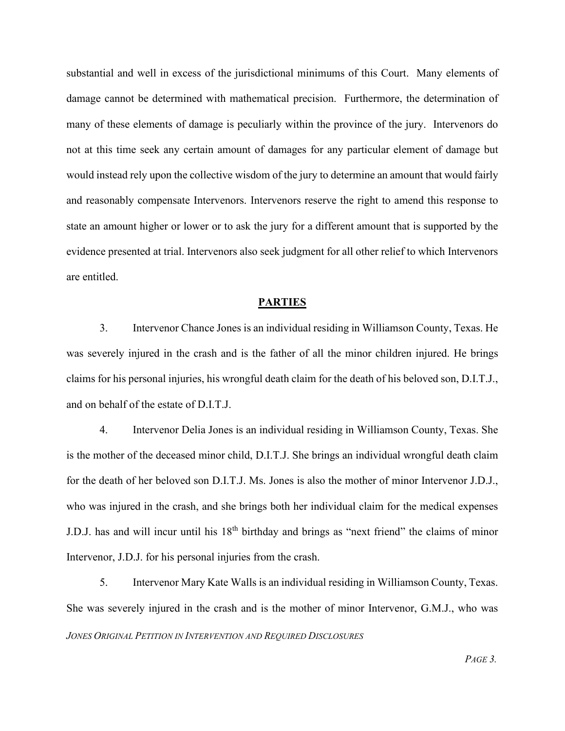substantial and well in excess of the jurisdictional minimums of this Court. Many elements of damage cannot be determined with mathematical precision. Furthermore, the determination of many of these elements of damage is peculiarly within the province of the jury. Intervenors do not at this time seek any certain amount of damages for any particular element of damage but would instead rely upon the collective wisdom of the jury to determine an amount that would fairly and reasonably compensate Intervenors. Intervenors reserve the right to amend this response to state an amount higher or lower or to ask the jury for a different amount that is supported by the evidence presented at trial. Intervenors also seek judgment for all other relief to which Intervenors are entitled.

#### **PARTIES**

3. Intervenor Chance Jones is an individual residing in Williamson County, Texas. He was severely injured in the crash and is the father of all the minor children injured. He brings claims for his personal injuries, his wrongful death claim for the death of his beloved son, D.I.T.J., and on behalf of the estate of D.I.T.J.

4. Intervenor Delia Jones is an individual residing in Williamson County, Texas. She is the mother of the deceased minor child, D.I.T.J. She brings an individual wrongful death claim for the death of her beloved son D.I.T.J. Ms. Jones is also the mother of minor Intervenor J.D.J., who was injured in the crash, and she brings both her individual claim for the medical expenses J.D.J. has and will incur until his 18<sup>th</sup> birthday and brings as "next friend" the claims of minor Intervenor, J.D.J. for his personal injuries from the crash.

*JONES ORIGINAL PETITION IN INTERVENTION AND REQUIRED DISCLOSURES* 5. Intervenor Mary Kate Walls is an individual residing in Williamson County, Texas. She was severely injured in the crash and is the mother of minor Intervenor, G.M.J., who was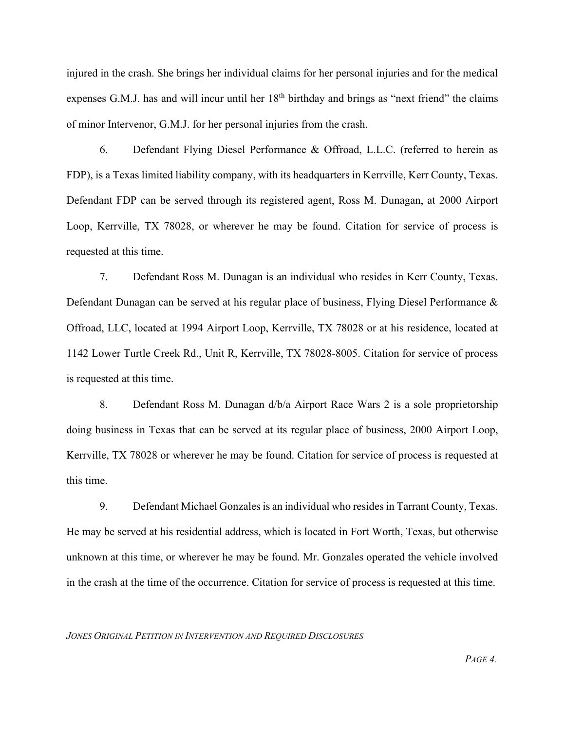injured in the crash. She brings her individual claims for her personal injuries and for the medical expenses G.M.J. has and will incur until her 18<sup>th</sup> birthday and brings as "next friend" the claims of minor Intervenor, G.M.J. for her personal injuries from the crash.

6. Defendant Flying Diesel Performance & Offroad, L.L.C. (referred to herein as FDP), is a Texas limited liability company, with its headquarters in Kerrville, Kerr County, Texas. Defendant FDP can be served through its registered agent, Ross M. Dunagan, at 2000 Airport Loop, Kerrville, TX 78028, or wherever he may be found. Citation for service of process is requested at this time.

7. Defendant Ross M. Dunagan is an individual who resides in Kerr County, Texas. Defendant Dunagan can be served at his regular place of business, Flying Diesel Performance & Offroad, LLC, located at 1994 Airport Loop, Kerrville, TX 78028 or at his residence, located at 1142 Lower Turtle Creek Rd., Unit R, Kerrville, TX 78028-8005. Citation for service of process is requested at this time.

8. Defendant Ross M. Dunagan d/b/a Airport Race Wars 2 is a sole proprietorship doing business in Texas that can be served at its regular place of business, 2000 Airport Loop, Kerrville, TX 78028 or wherever he may be found. Citation for service of process is requested at this time.

9. Defendant Michael Gonzales is an individual who resides in Tarrant County, Texas. He may be served at his residential address, which is located in Fort Worth, Texas, but otherwise unknown at this time, or wherever he may be found. Mr. Gonzales operated the vehicle involved in the crash at the time of the occurrence. Citation for service of process is requested at this time.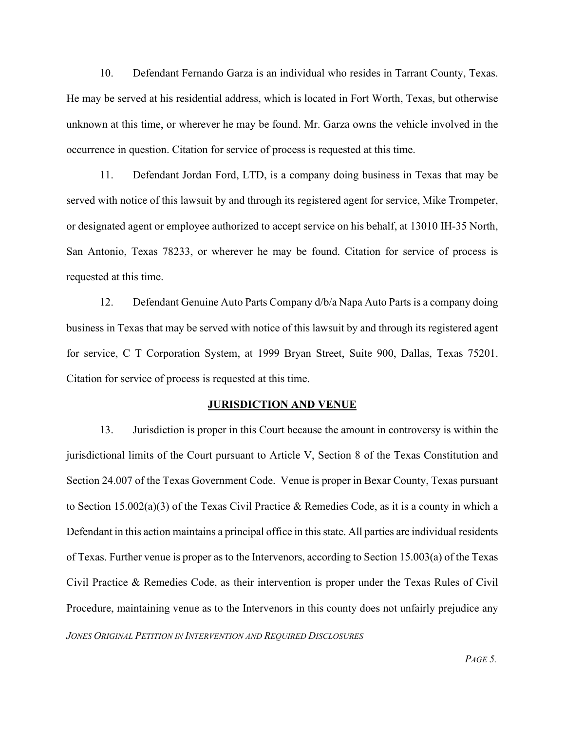10. Defendant Fernando Garza is an individual who resides in Tarrant County, Texas. He may be served at his residential address, which is located in Fort Worth, Texas, but otherwise unknown at this time, or wherever he may be found. Mr. Garza owns the vehicle involved in the occurrence in question. Citation for service of process is requested at this time.

11. Defendant Jordan Ford, LTD, is a company doing business in Texas that may be served with notice of this lawsuit by and through its registered agent for service, Mike Trompeter, or designated agent or employee authorized to accept service on his behalf, at 13010 IH-35 North, San Antonio, Texas 78233, or wherever he may be found. Citation for service of process is requested at this time.

12. Defendant Genuine Auto Parts Company d/b/a Napa Auto Parts is a company doing business in Texas that may be served with notice of this lawsuit by and through its registered agent for service, C T Corporation System, at 1999 Bryan Street, Suite 900, Dallas, Texas 75201. Citation for service of process is requested at this time.

#### **JURISDICTION AND VENUE**

*JONES ORIGINAL PETITION IN INTERVENTION AND REQUIRED DISCLOSURES* 13. Jurisdiction is proper in this Court because the amount in controversy is within the jurisdictional limits of the Court pursuant to Article V, Section 8 of the Texas Constitution and Section 24.007 of the Texas Government Code. Venue is proper in Bexar County, Texas pursuant to Section 15.002(a)(3) of the Texas Civil Practice & Remedies Code, as it is a county in which a Defendant in this action maintains a principal office in this state. All parties are individual residents of Texas. Further venue is proper as to the Intervenors, according to Section 15.003(a) of the Texas Civil Practice & Remedies Code, as their intervention is proper under the Texas Rules of Civil Procedure, maintaining venue as to the Intervenors in this county does not unfairly prejudice any

*PAGE 5.*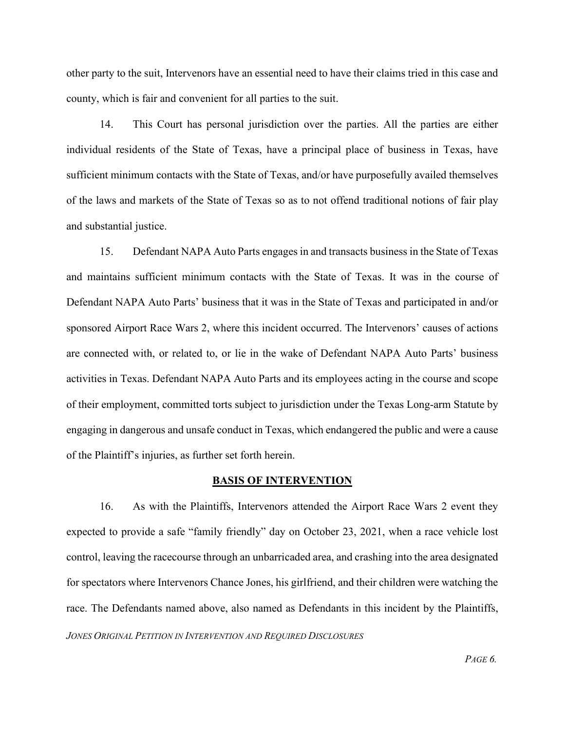other party to the suit, Intervenors have an essential need to have their claims tried in this case and county, which is fair and convenient for all parties to the suit.

14. This Court has personal jurisdiction over the parties. All the parties are either individual residents of the State of Texas, have a principal place of business in Texas, have sufficient minimum contacts with the State of Texas, and/or have purposefully availed themselves of the laws and markets of the State of Texas so as to not offend traditional notions of fair play and substantial justice.

15. Defendant NAPA Auto Parts engages in and transacts business in the State of Texas and maintains sufficient minimum contacts with the State of Texas. It was in the course of Defendant NAPA Auto Parts' business that it was in the State of Texas and participated in and/or sponsored Airport Race Wars 2, where this incident occurred. The Intervenors' causes of actions are connected with, or related to, or lie in the wake of Defendant NAPA Auto Parts' business activities in Texas. Defendant NAPA Auto Parts and its employees acting in the course and scope of their employment, committed torts subject to jurisdiction under the Texas Long-arm Statute by engaging in dangerous and unsafe conduct in Texas, which endangered the public and were a cause of the Plaintiff's injuries, as further set forth herein.

#### **BASIS OF INTERVENTION**

*JONES ORIGINAL PETITION IN INTERVENTION AND REQUIRED DISCLOSURES* 16. As with the Plaintiffs, Intervenors attended the Airport Race Wars 2 event they expected to provide a safe "family friendly" day on October 23, 2021, when a race vehicle lost control, leaving the racecourse through an unbarricaded area, and crashing into the area designated for spectators where Intervenors Chance Jones, his girlfriend, and their children were watching the race. The Defendants named above, also named as Defendants in this incident by the Plaintiffs,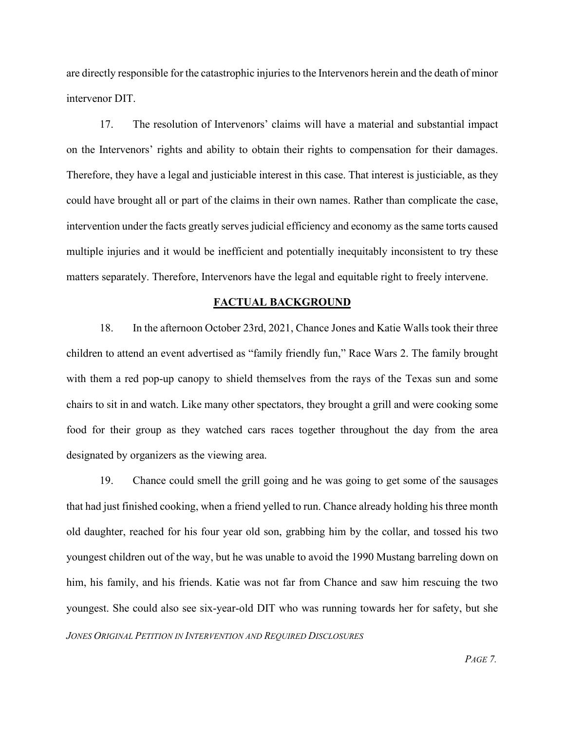are directly responsible for the catastrophic injuries to the Intervenors herein and the death of minor intervenor DIT.

17. The resolution of Intervenors' claims will have a material and substantial impact on the Intervenors' rights and ability to obtain their rights to compensation for their damages. Therefore, they have a legal and justiciable interest in this case. That interest is justiciable, as they could have brought all or part of the claims in their own names. Rather than complicate the case, intervention under the facts greatly serves judicial efficiency and economy as the same torts caused multiple injuries and it would be inefficient and potentially inequitably inconsistent to try these matters separately. Therefore, Intervenors have the legal and equitable right to freely intervene.

#### **FACTUAL BACKGROUND**

18. In the afternoon October 23rd, 2021, Chance Jones and Katie Walls took their three children to attend an event advertised as "family friendly fun," Race Wars 2. The family brought with them a red pop-up canopy to shield themselves from the rays of the Texas sun and some chairs to sit in and watch. Like many other spectators, they brought a grill and were cooking some food for their group as they watched cars races together throughout the day from the area designated by organizers as the viewing area.

*JONES ORIGINAL PETITION IN INTERVENTION AND REQUIRED DISCLOSURES* 19. Chance could smell the grill going and he was going to get some of the sausages that had just finished cooking, when a friend yelled to run. Chance already holding his three month old daughter, reached for his four year old son, grabbing him by the collar, and tossed his two youngest children out of the way, but he was unable to avoid the 1990 Mustang barreling down on him, his family, and his friends. Katie was not far from Chance and saw him rescuing the two youngest. She could also see six-year-old DIT who was running towards her for safety, but she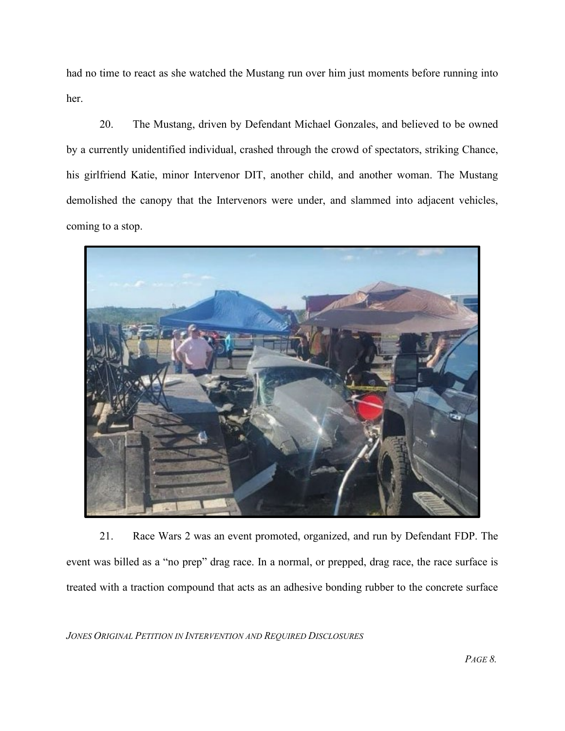had no time to react as she watched the Mustang run over him just moments before running into her.

20. The Mustang, driven by Defendant Michael Gonzales, and believed to be owned by a currently unidentified individual, crashed through the crowd of spectators, striking Chance, his girlfriend Katie, minor Intervenor DIT, another child, and another woman. The Mustang demolished the canopy that the Intervenors were under, and slammed into adjacent vehicles, coming to a stop.



21. Race Wars 2 was an event promoted, organized, and run by Defendant FDP. The event was billed as a "no prep" drag race. In a normal, or prepped, drag race, the race surface is treated with a traction compound that acts as an adhesive bonding rubber to the concrete surface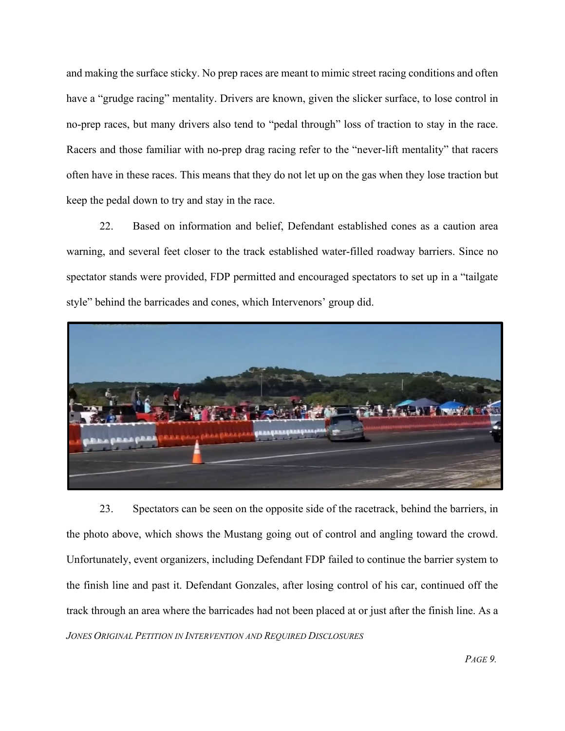and making the surface sticky. No prep races are meant to mimic street racing conditions and often have a "grudge racing" mentality. Drivers are known, given the slicker surface, to lose control in no-prep races, but many drivers also tend to "pedal through" loss of traction to stay in the race. Racers and those familiar with no-prep drag racing refer to the "never-lift mentality" that racers often have in these races. This means that they do not let up on the gas when they lose traction but keep the pedal down to try and stay in the race.

22. Based on information and belief, Defendant established cones as a caution area warning, and several feet closer to the track established water-filled roadway barriers. Since no spectator stands were provided, FDP permitted and encouraged spectators to set up in a "tailgate style" behind the barricades and cones, which Intervenors' group did.



*JONES ORIGINAL PETITION IN INTERVENTION AND REQUIRED DISCLOSURES* 23. Spectators can be seen on the opposite side of the racetrack, behind the barriers, in the photo above, which shows the Mustang going out of control and angling toward the crowd. Unfortunately, event organizers, including Defendant FDP failed to continue the barrier system to the finish line and past it. Defendant Gonzales, after losing control of his car, continued off the track through an area where the barricades had not been placed at or just after the finish line. As a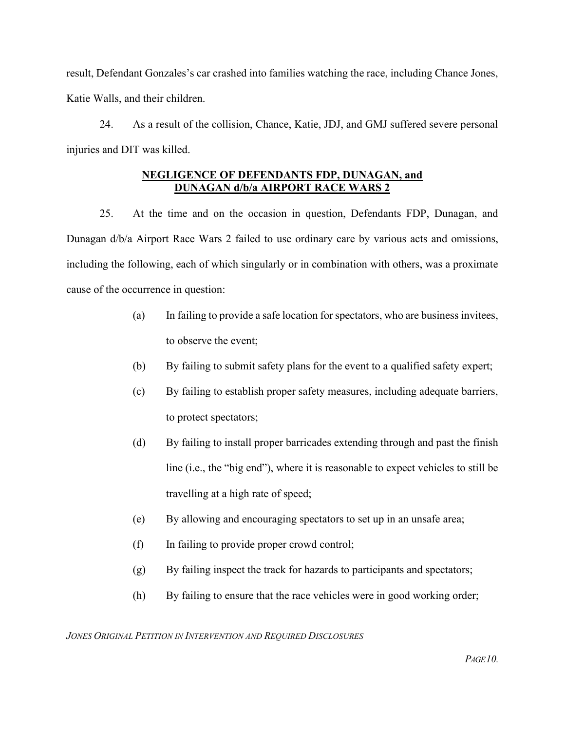result, Defendant Gonzales's car crashed into families watching the race, including Chance Jones, Katie Walls, and their children.

24. As a result of the collision, Chance, Katie, JDJ, and GMJ suffered severe personal injuries and DIT was killed.

## **NEGLIGENCE OF DEFENDANTS FDP, DUNAGAN, and DUNAGAN d/b/a AIRPORT RACE WARS 2**

25. At the time and on the occasion in question, Defendants FDP, Dunagan, and Dunagan d/b/a Airport Race Wars 2 failed to use ordinary care by various acts and omissions, including the following, each of which singularly or in combination with others, was a proximate cause of the occurrence in question:

- (a) In failing to provide a safe location for spectators, who are business invitees, to observe the event;
- (b) By failing to submit safety plans for the event to a qualified safety expert;
- (c) By failing to establish proper safety measures, including adequate barriers, to protect spectators;
- (d) By failing to install proper barricades extending through and past the finish line (i.e., the "big end"), where it is reasonable to expect vehicles to still be travelling at a high rate of speed;
- (e) By allowing and encouraging spectators to set up in an unsafe area;
- (f) In failing to provide proper crowd control;
- (g) By failing inspect the track for hazards to participants and spectators;
- (h) By failing to ensure that the race vehicles were in good working order;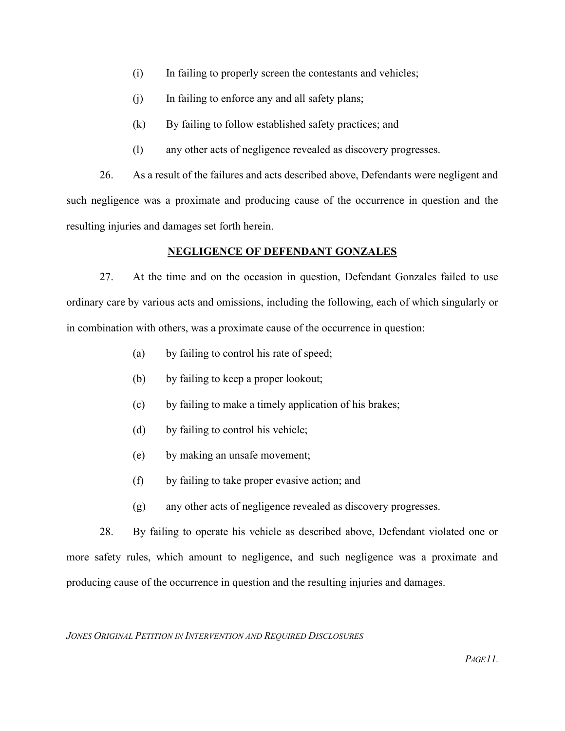- (i) In failing to properly screen the contestants and vehicles;
- (j) In failing to enforce any and all safety plans;
- (k) By failing to follow established safety practices; and
- (l) any other acts of negligence revealed as discovery progresses.

26. As a result of the failures and acts described above, Defendants were negligent and such negligence was a proximate and producing cause of the occurrence in question and the resulting injuries and damages set forth herein.

## **NEGLIGENCE OF DEFENDANT GONZALES**

27. At the time and on the occasion in question, Defendant Gonzales failed to use ordinary care by various acts and omissions, including the following, each of which singularly or in combination with others, was a proximate cause of the occurrence in question:

- (a) by failing to control his rate of speed;
- (b) by failing to keep a proper lookout;
- (c) by failing to make a timely application of his brakes;
- (d) by failing to control his vehicle;
- (e) by making an unsafe movement;
- (f) by failing to take proper evasive action; and
- (g) any other acts of negligence revealed as discovery progresses.

28. By failing to operate his vehicle as described above, Defendant violated one or more safety rules, which amount to negligence, and such negligence was a proximate and producing cause of the occurrence in question and the resulting injuries and damages.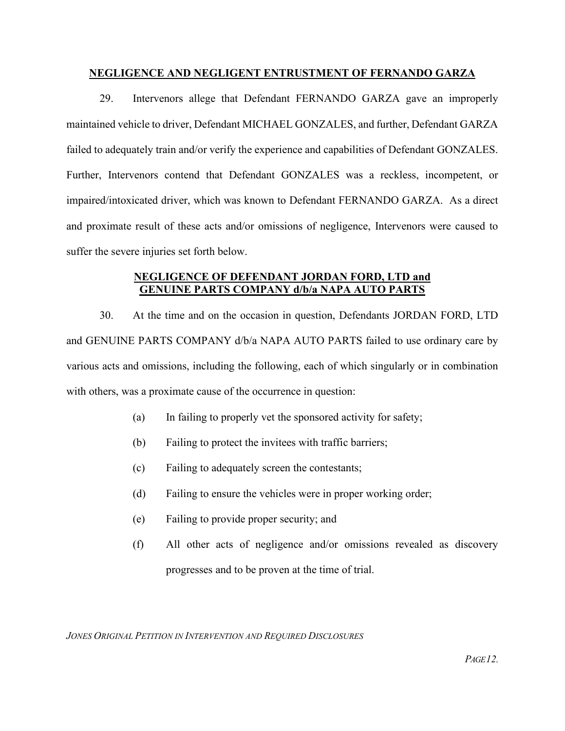## **NEGLIGENCE AND NEGLIGENT ENTRUSTMENT OF FERNANDO GARZA**

29. Intervenors allege that Defendant FERNANDO GARZA gave an improperly maintained vehicle to driver, Defendant MICHAEL GONZALES, and further, Defendant GARZA failed to adequately train and/or verify the experience and capabilities of Defendant GONZALES. Further, Intervenors contend that Defendant GONZALES was a reckless, incompetent, or impaired/intoxicated driver, which was known to Defendant FERNANDO GARZA. As a direct and proximate result of these acts and/or omissions of negligence, Intervenors were caused to suffer the severe injuries set forth below.

## **NEGLIGENCE OF DEFENDANT JORDAN FORD, LTD and GENUINE PARTS COMPANY d/b/a NAPA AUTO PARTS**

30. At the time and on the occasion in question, Defendants JORDAN FORD, LTD and GENUINE PARTS COMPANY d/b/a NAPA AUTO PARTS failed to use ordinary care by various acts and omissions, including the following, each of which singularly or in combination with others, was a proximate cause of the occurrence in question:

- (a) In failing to properly vet the sponsored activity for safety;
- (b) Failing to protect the invitees with traffic barriers;
- (c) Failing to adequately screen the contestants;
- (d) Failing to ensure the vehicles were in proper working order;
- (e) Failing to provide proper security; and
- (f) All other acts of negligence and/or omissions revealed as discovery progresses and to be proven at the time of trial.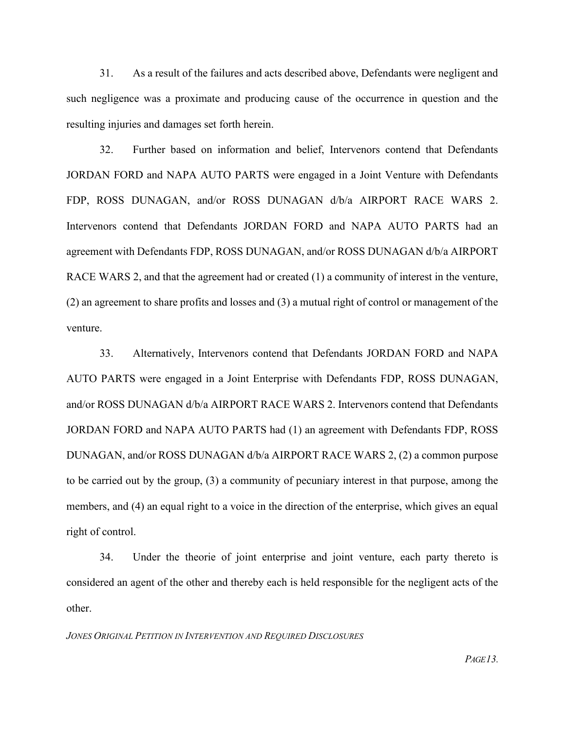31. As a result of the failures and acts described above, Defendants were negligent and such negligence was a proximate and producing cause of the occurrence in question and the resulting injuries and damages set forth herein.

32. Further based on information and belief, Intervenors contend that Defendants JORDAN FORD and NAPA AUTO PARTS were engaged in a Joint Venture with Defendants FDP, ROSS DUNAGAN, and/or ROSS DUNAGAN d/b/a AIRPORT RACE WARS 2. Intervenors contend that Defendants JORDAN FORD and NAPA AUTO PARTS had an agreement with Defendants FDP, ROSS DUNAGAN, and/or ROSS DUNAGAN d/b/a AIRPORT RACE WARS 2, and that the agreement had or created (1) a community of interest in the venture, (2) an agreement to share profits and losses and (3) a mutual right of control or management of the venture.

33. Alternatively, Intervenors contend that Defendants JORDAN FORD and NAPA AUTO PARTS were engaged in a Joint Enterprise with Defendants FDP, ROSS DUNAGAN, and/or ROSS DUNAGAN d/b/a AIRPORT RACE WARS 2. Intervenors contend that Defendants JORDAN FORD and NAPA AUTO PARTS had (1) an agreement with Defendants FDP, ROSS DUNAGAN, and/or ROSS DUNAGAN d/b/a AIRPORT RACE WARS 2, (2) a common purpose to be carried out by the group, (3) a community of pecuniary interest in that purpose, among the members, and (4) an equal right to a voice in the direction of the enterprise, which gives an equal right of control.

34. Under the theorie of joint enterprise and joint venture, each party thereto is considered an agent of the other and thereby each is held responsible for the negligent acts of the other.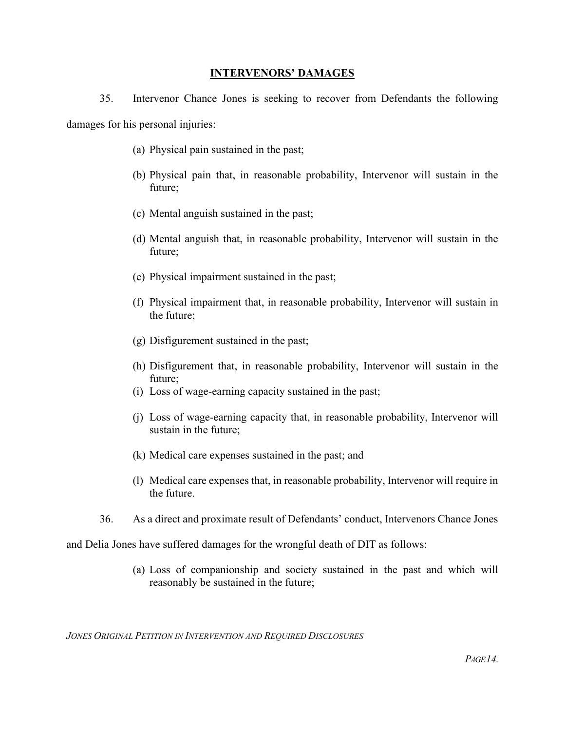#### **INTERVENORS' DAMAGES**

35. Intervenor Chance Jones is seeking to recover from Defendants the following

damages for his personal injuries:

- (a) Physical pain sustained in the past;
- (b) Physical pain that, in reasonable probability, Intervenor will sustain in the future;
- (c) Mental anguish sustained in the past;
- (d) Mental anguish that, in reasonable probability, Intervenor will sustain in the future;
- (e) Physical impairment sustained in the past;
- (f) Physical impairment that, in reasonable probability, Intervenor will sustain in the future;
- (g) Disfigurement sustained in the past;
- (h) Disfigurement that, in reasonable probability, Intervenor will sustain in the future;
- (i) Loss of wage-earning capacity sustained in the past;
- (j) Loss of wage-earning capacity that, in reasonable probability, Intervenor will sustain in the future;
- (k) Medical care expenses sustained in the past; and
- (l) Medical care expenses that, in reasonable probability, Intervenor will require in the future.
- 36. As a direct and proximate result of Defendants' conduct, Intervenors Chance Jones

and Delia Jones have suffered damages for the wrongful death of DIT as follows:

(a) Loss of companionship and society sustained in the past and which will reasonably be sustained in the future;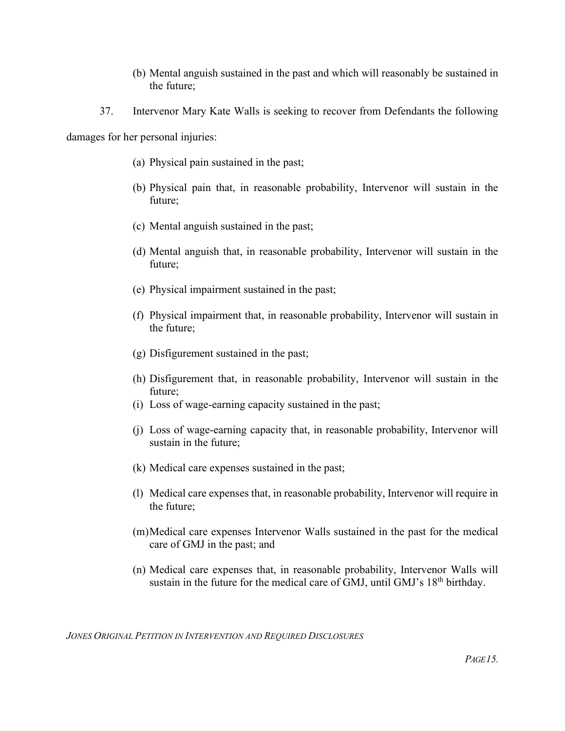- (b) Mental anguish sustained in the past and which will reasonably be sustained in the future;
- 37. Intervenor Mary Kate Walls is seeking to recover from Defendants the following

damages for her personal injuries:

- (a) Physical pain sustained in the past;
- (b) Physical pain that, in reasonable probability, Intervenor will sustain in the future;
- (c) Mental anguish sustained in the past;
- (d) Mental anguish that, in reasonable probability, Intervenor will sustain in the future;
- (e) Physical impairment sustained in the past;
- (f) Physical impairment that, in reasonable probability, Intervenor will sustain in the future;
- (g) Disfigurement sustained in the past;
- (h) Disfigurement that, in reasonable probability, Intervenor will sustain in the future;
- (i) Loss of wage-earning capacity sustained in the past;
- (j) Loss of wage-earning capacity that, in reasonable probability, Intervenor will sustain in the future;
- (k) Medical care expenses sustained in the past;
- (l) Medical care expenses that, in reasonable probability, Intervenor will require in the future;
- (m)Medical care expenses Intervenor Walls sustained in the past for the medical care of GMJ in the past; and
- (n) Medical care expenses that, in reasonable probability, Intervenor Walls will sustain in the future for the medical care of GMJ, until GMJ's 18<sup>th</sup> birthday.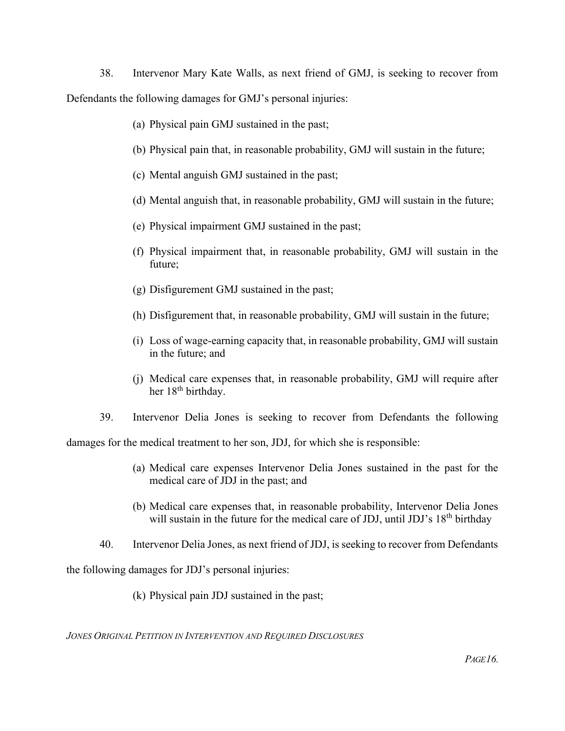38. Intervenor Mary Kate Walls, as next friend of GMJ, is seeking to recover from Defendants the following damages for GMJ's personal injuries:

- (a) Physical pain GMJ sustained in the past;
- (b) Physical pain that, in reasonable probability, GMJ will sustain in the future;
- (c) Mental anguish GMJ sustained in the past;
- (d) Mental anguish that, in reasonable probability, GMJ will sustain in the future;
- (e) Physical impairment GMJ sustained in the past;
- (f) Physical impairment that, in reasonable probability, GMJ will sustain in the future;
- (g) Disfigurement GMJ sustained in the past;
- (h) Disfigurement that, in reasonable probability, GMJ will sustain in the future;
- (i) Loss of wage-earning capacity that, in reasonable probability, GMJ will sustain in the future; and
- (j) Medical care expenses that, in reasonable probability, GMJ will require after her 18<sup>th</sup> birthday.
- 39. Intervenor Delia Jones is seeking to recover from Defendants the following

damages for the medical treatment to her son, JDJ, for which she is responsible:

- (a) Medical care expenses Intervenor Delia Jones sustained in the past for the medical care of JDJ in the past; and
- (b) Medical care expenses that, in reasonable probability, Intervenor Delia Jones will sustain in the future for the medical care of JDJ, until JDJ's 18<sup>th</sup> birthday
- 40. Intervenor Delia Jones, as next friend of JDJ, is seeking to recover from Defendants

the following damages for JDJ's personal injuries:

(k) Physical pain JDJ sustained in the past;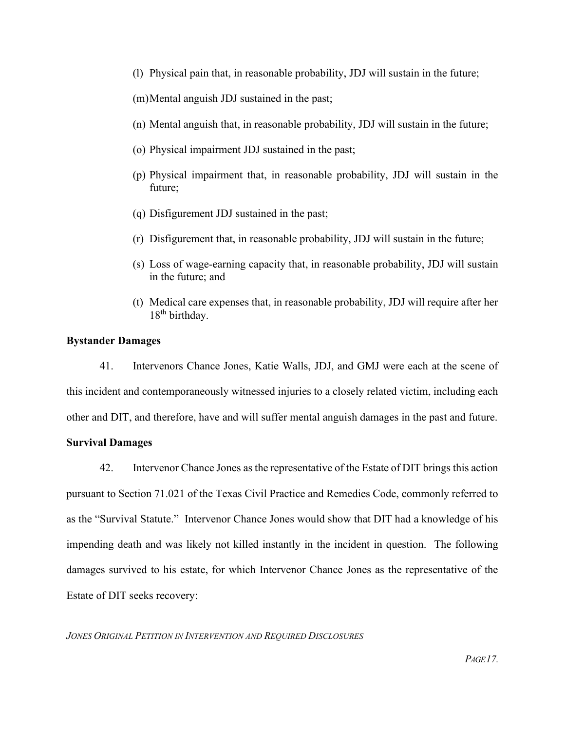- (l) Physical pain that, in reasonable probability, JDJ will sustain in the future;
- (m)Mental anguish JDJ sustained in the past;
- (n) Mental anguish that, in reasonable probability, JDJ will sustain in the future;
- (o) Physical impairment JDJ sustained in the past;
- (p) Physical impairment that, in reasonable probability, JDJ will sustain in the future;
- (q) Disfigurement JDJ sustained in the past;
- (r) Disfigurement that, in reasonable probability, JDJ will sustain in the future;
- (s) Loss of wage-earning capacity that, in reasonable probability, JDJ will sustain in the future; and
- (t) Medical care expenses that, in reasonable probability, JDJ will require after her 18<sup>th</sup> birthday.

#### **Bystander Damages**

41. Intervenors Chance Jones, Katie Walls, JDJ, and GMJ were each at the scene of this incident and contemporaneously witnessed injuries to a closely related victim, including each other and DIT, and therefore, have and will suffer mental anguish damages in the past and future.

#### **Survival Damages**

42. Intervenor Chance Jones as the representative of the Estate of DIT brings this action pursuant to Section 71.021 of the Texas Civil Practice and Remedies Code, commonly referred to as the "Survival Statute." Intervenor Chance Jones would show that DIT had a knowledge of his impending death and was likely not killed instantly in the incident in question. The following damages survived to his estate, for which Intervenor Chance Jones as the representative of the Estate of DIT seeks recovery: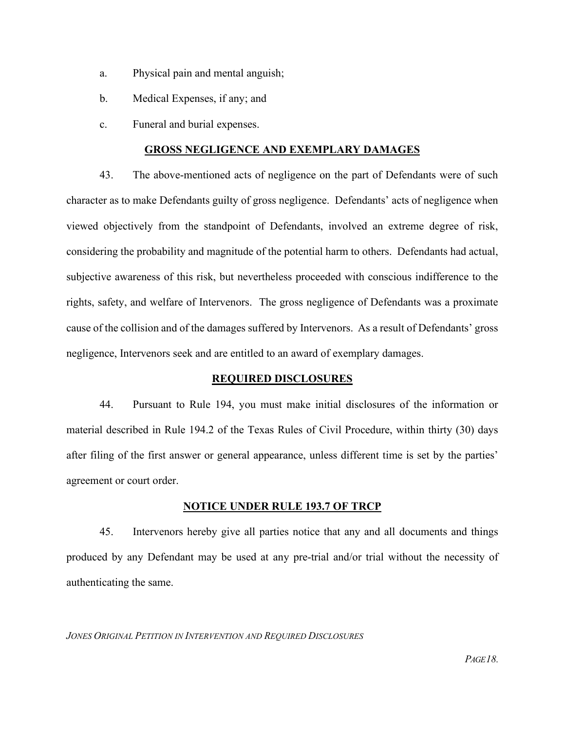- a. Physical pain and mental anguish;
- b. Medical Expenses, if any; and
- c. Funeral and burial expenses.

#### **GROSS NEGLIGENCE AND EXEMPLARY DAMAGES**

43. The above-mentioned acts of negligence on the part of Defendants were of such character as to make Defendants guilty of gross negligence. Defendants' acts of negligence when viewed objectively from the standpoint of Defendants, involved an extreme degree of risk, considering the probability and magnitude of the potential harm to others. Defendants had actual, subjective awareness of this risk, but nevertheless proceeded with conscious indifference to the rights, safety, and welfare of Intervenors. The gross negligence of Defendants was a proximate cause of the collision and of the damages suffered by Intervenors. As a result of Defendants' gross negligence, Intervenors seek and are entitled to an award of exemplary damages.

## **REQUIRED DISCLOSURES**

44. Pursuant to Rule 194, you must make initial disclosures of the information or material described in Rule 194.2 of the Texas Rules of Civil Procedure, within thirty (30) days after filing of the first answer or general appearance, unless different time is set by the parties' agreement or court order.

## **NOTICE UNDER RULE 193.7 OF TRCP**

45. Intervenors hereby give all parties notice that any and all documents and things produced by any Defendant may be used at any pre-trial and/or trial without the necessity of authenticating the same.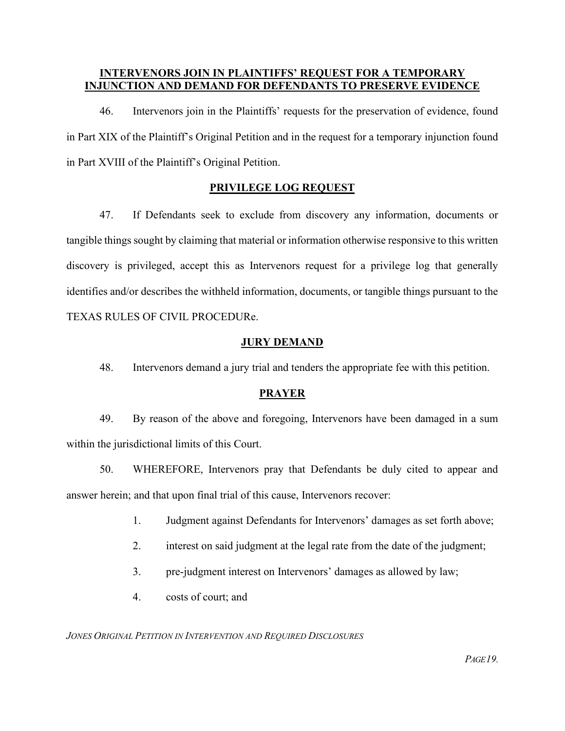## **INTERVENORS JOIN IN PLAINTIFFS' REQUEST FOR A TEMPORARY INJUNCTION AND DEMAND FOR DEFENDANTS TO PRESERVE EVIDENCE**

46. Intervenors join in the Plaintiffs' requests for the preservation of evidence, found in Part XIX of the Plaintiff's Original Petition and in the request for a temporary injunction found in Part XVIII of the Plaintiff's Original Petition.

## **PRIVILEGE LOG REQUEST**

47. If Defendants seek to exclude from discovery any information, documents or tangible things sought by claiming that material or information otherwise responsive to this written discovery is privileged, accept this as Intervenors request for a privilege log that generally identifies and/or describes the withheld information, documents, or tangible things pursuant to the TEXAS RULES OF CIVIL PROCEDURe.

## **JURY DEMAND**

48. Intervenors demand a jury trial and tenders the appropriate fee with this petition.

## **PRAYER**

49. By reason of the above and foregoing, Intervenors have been damaged in a sum within the jurisdictional limits of this Court.

50. WHEREFORE, Intervenors pray that Defendants be duly cited to appear and answer herein; and that upon final trial of this cause, Intervenors recover:

- 1. Judgment against Defendants for Intervenors' damages as set forth above;
- 2. interest on said judgment at the legal rate from the date of the judgment;
- 3. pre-judgment interest on Intervenors' damages as allowed by law;
- 4. costs of court; and